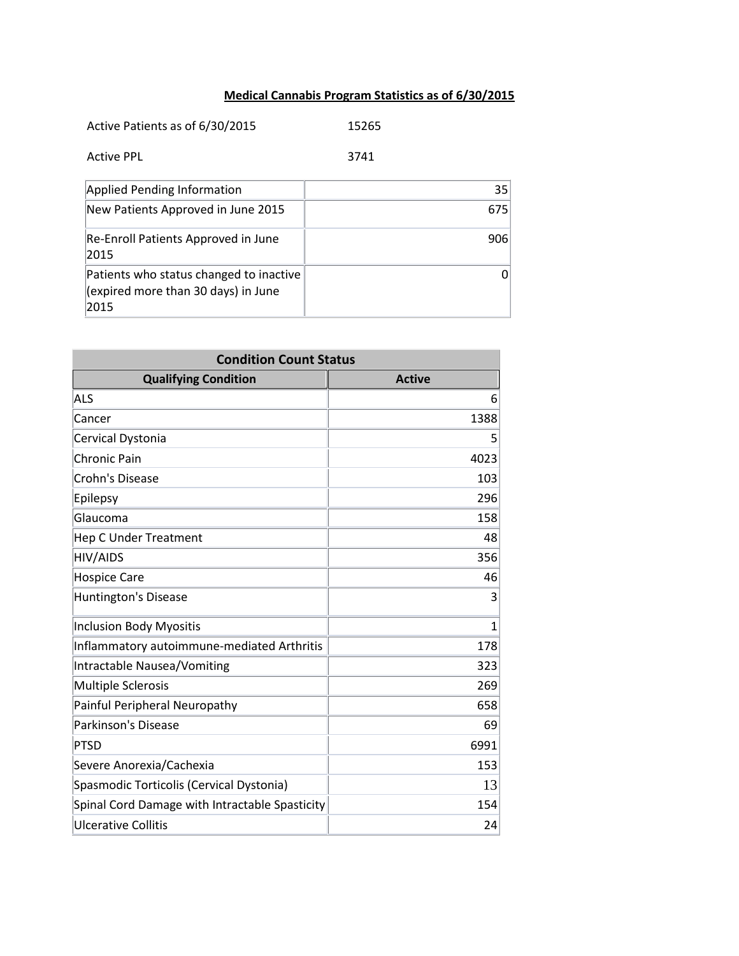## **Medical Cannabis Program Statistics as of 6/30/2015**

| Active Patients as of 6/30/2015                                                        | 15265 |
|----------------------------------------------------------------------------------------|-------|
| <b>Active PPL</b>                                                                      | 3741  |
| <b>Applied Pending Information</b>                                                     | 35    |
| New Patients Approved in June 2015                                                     | 675   |
| Re-Enroll Patients Approved in June<br>2015                                            | 906   |
| Patients who status changed to inactive<br>(expired more than 30 days) in June<br>2015 | 0     |

| <b>Condition Count Status</b>                  |               |
|------------------------------------------------|---------------|
| <b>Qualifying Condition</b>                    | <b>Active</b> |
| ALS                                            | 6             |
| Cancer                                         | 1388          |
| Cervical Dystonia                              | 5             |
| <b>Chronic Pain</b>                            | 4023          |
| Crohn's Disease                                | 103           |
| Epilepsy                                       | 296           |
| Glaucoma                                       | 158           |
| <b>Hep C Under Treatment</b>                   | 48            |
| <b>HIV/AIDS</b>                                | 356           |
| <b>Hospice Care</b>                            | 46            |
| <b>Huntington's Disease</b>                    | 3             |
| <b>Inclusion Body Myositis</b>                 | $\mathbf{1}$  |
| Inflammatory autoimmune-mediated Arthritis     | 178           |
| Intractable Nausea/Vomiting                    | 323           |
| <b>Multiple Sclerosis</b>                      | 269           |
| Painful Peripheral Neuropathy                  | 658           |
| Parkinson's Disease                            | 69            |
| <b>PTSD</b>                                    | 6991          |
| Severe Anorexia/Cachexia                       | 153           |
| Spasmodic Torticolis (Cervical Dystonia)       | 13            |
| Spinal Cord Damage with Intractable Spasticity | 154           |
| <b>Ulcerative Collitis</b>                     | 24            |